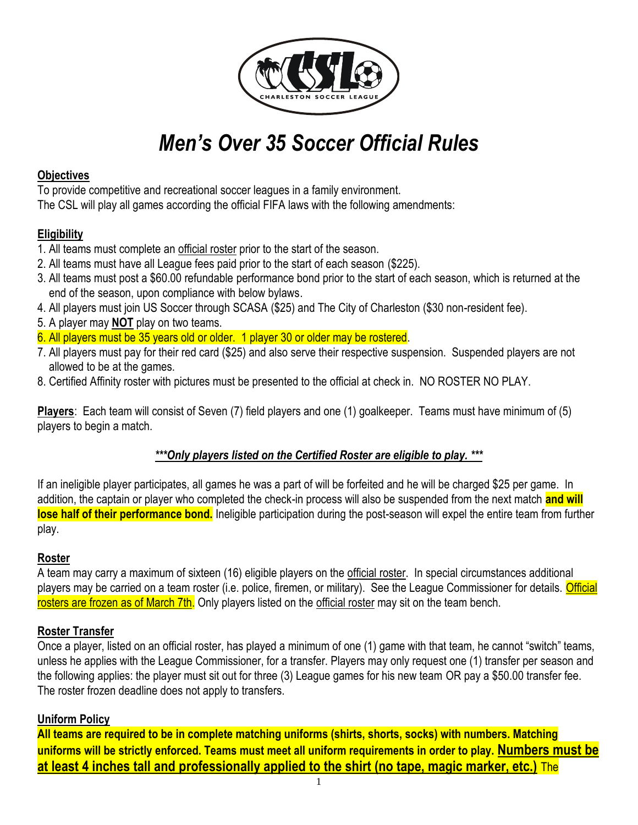

# *Men's Over 35 Soccer Official Rules*

# **Objectives**

To provide competitive and recreational soccer leagues in a family environment. The CSL will play all games according the official FIFA laws with the following amendments:

# **Eligibility**

- 1. All teams must complete an official roster prior to the start of the season.
- 2. All teams must have all League fees paid prior to the start of each season (\$225).
- 3. All teams must post a \$60.00 refundable performance bond prior to the start of each season, which is returned at the end of the season, upon compliance with below bylaws.
- 4. All players must join US Soccer through SCASA (\$25) and The City of Charleston (\$30 non-resident fee).
- 5. A player may **NOT** play on two teams.
- 6. All players must be 35 years old or older. 1 player 30 or older may be rostered.
- 7. All players must pay for their red card (\$25) and also serve their respective suspension. Suspended players are not allowed to be at the games.
- 8. Certified Affinity roster with pictures must be presented to the official at check in. NO ROSTER NO PLAY.

**Players**: Each team will consist of Seven (7) field players and one (1) goalkeeper. Teams must have minimum of (5) players to begin a match.

# *\*\*\*Only players listed on the Certified Roster are eligible to play. \*\*\**

If an ineligible player participates, all games he was a part of will be forfeited and he will be charged \$25 per game. In addition, the captain or player who completed the check-in process will also be suspended from the next match **and will lose half of their performance bond.** Ineligible participation during the post-season will expel the entire team from further play.

# **Roster**

A team may carry a maximum of sixteen (16) eligible players on the official roster. In special circumstances additional players may be carried on a team roster (i.e. police, firemen, or military). See the League Commissioner for details. Official rosters are frozen as of March 7th. Only players listed on the official roster may sit on the team bench.

# **Roster Transfer**

Once a player, listed on an official roster, has played a minimum of one (1) game with that team, he cannot "switch" teams, unless he applies with the League Commissioner, for a transfer. Players may only request one (1) transfer per season and the following applies: the player must sit out for three (3) League games for his new team OR pay a \$50.00 transfer fee. The roster frozen deadline does not apply to transfers.

# **Uniform Policy**

**All teams are required to be in complete matching uniforms (shirts, shorts, socks) with numbers. Matching uniforms will be strictly enforced. Teams must meet all uniform requirements in order to play. Numbers must be at least 4 inches tall and professionally applied to the shirt (no tape, magic marker, etc.)** The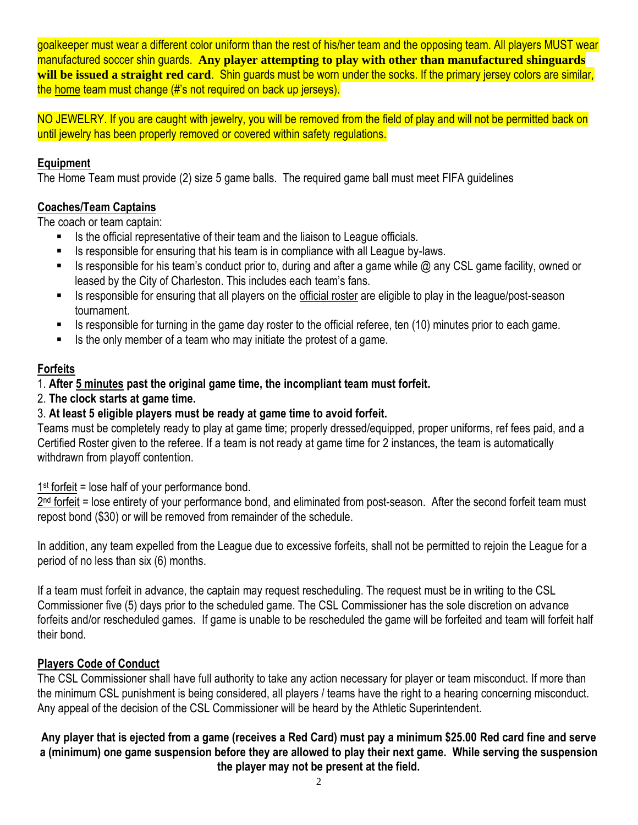goalkeeper must wear a different color uniform than the rest of his/her team and the opposing team. All players MUST wear manufactured soccer shin guards. **Any player attempting to play with other than manufactured shinguards will be issued a straight red card**. Shin guards must be worn under the socks. If the primary jersey colors are similar, the home team must change (#'s not required on back up jerseys).

NO JEWELRY. If you are caught with jewelry, you will be removed from the field of play and will not be permitted back on until jewelry has been properly removed or covered within safety regulations.

# **Equipment**

The Home Team must provide (2) size 5 game balls. The required game ball must meet FIFA guidelines

# **Coaches/Team Captains**

The coach or team captain:

- Is the official representative of their team and the liaison to League officials.
- Is responsible for ensuring that his team is in compliance with all League by-laws.
- Is responsible for his team's conduct prior to, during and after a game while  $\omega$  any CSL game facility, owned or leased by the City of Charleston. This includes each team's fans.
- Is responsible for ensuring that all players on the official roster are eligible to play in the league/post-season tournament.
- Is responsible for turning in the game day roster to the official referee, ten (10) minutes prior to each game.
- Is the only member of a team who may initiate the protest of a game.

# **Forfeits**

# 1. **After 5 minutes past the original game time, the incompliant team must forfeit.**

2. **The clock starts at game time.**

# 3. **At least 5 eligible players must be ready at game time to avoid forfeit.**

Teams must be completely ready to play at game time; properly dressed/equipped, proper uniforms, ref fees paid, and a Certified Roster given to the referee. If a team is not ready at game time for 2 instances, the team is automatically withdrawn from playoff contention.

 $1<sup>st</sup>$  forfeit = lose half of your performance bond.

2<sup>nd</sup> forfeit = lose entirety of your performance bond, and eliminated from post-season. After the second forfeit team must repost bond (\$30) or will be removed from remainder of the schedule.

In addition, any team expelled from the League due to excessive forfeits, shall not be permitted to rejoin the League for a period of no less than six (6) months.

If a team must forfeit in advance, the captain may request rescheduling. The request must be in writing to the CSL Commissioner five (5) days prior to the scheduled game. The CSL Commissioner has the sole discretion on advance forfeits and/or rescheduled games. If game is unable to be rescheduled the game will be forfeited and team will forfeit half their bond.

# **Players Code of Conduct**

The CSL Commissioner shall have full authority to take any action necessary for player or team misconduct. If more than the minimum CSL punishment is being considered, all players / teams have the right to a hearing concerning misconduct. Any appeal of the decision of the CSL Commissioner will be heard by the Athletic Superintendent.

#### **Any player that is ejected from a game (receives a Red Card) must pay a minimum \$25.00 Red card fine and serve a (minimum) one game suspension before they are allowed to play their next game. While serving the suspension the player may not be present at the field.**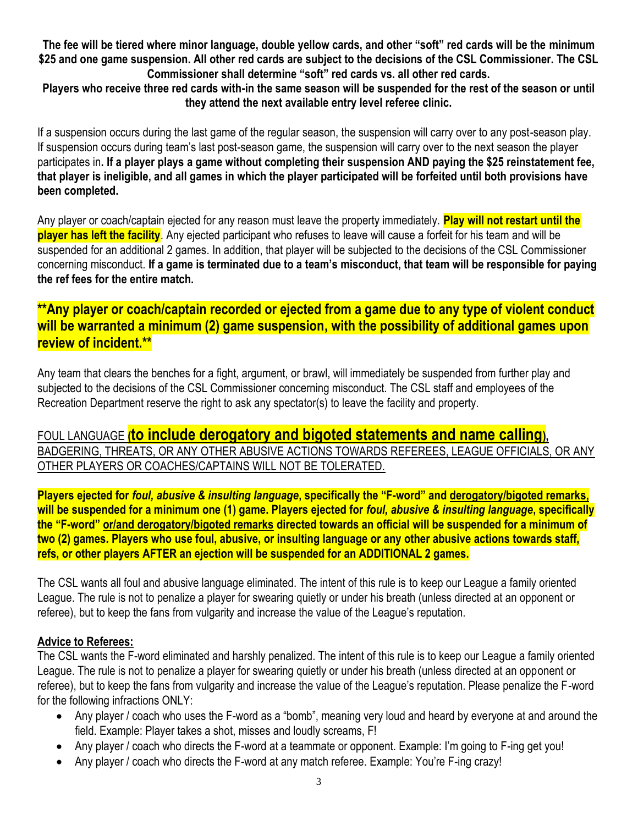**The fee will be tiered where minor language, double yellow cards, and other "soft" red cards will be the minimum \$25 and one game suspension. All other red cards are subject to the decisions of the CSL Commissioner. The CSL Commissioner shall determine "soft" red cards vs. all other red cards.**

**Players who receive three red cards with-in the same season will be suspended for the rest of the season or until they attend the next available entry level referee clinic.**

If a suspension occurs during the last game of the regular season, the suspension will carry over to any post-season play. If suspension occurs during team's last post-season game, the suspension will carry over to the next season the player participates in**. If a player plays a game without completing their suspension AND paying the \$25 reinstatement fee, that player is ineligible, and all games in which the player participated will be forfeited until both provisions have been completed.** 

Any player or coach/captain ejected for any reason must leave the property immediately. **Play will not restart until the player has left the facility**. Any ejected participant who refuses to leave will cause a forfeit for his team and will be suspended for an additional 2 games. In addition, that player will be subjected to the decisions of the CSL Commissioner concerning misconduct. **If a game is terminated due to a team's misconduct, that team will be responsible for paying the ref fees for the entire match.**

# **\*\*Any player or coach/captain recorded or ejected from a game due to any type of violent conduct will be warranted a minimum (2) game suspension, with the possibility of additional games upon review of incident.\*\***

Any team that clears the benches for a fight, argument, or brawl, will immediately be suspended from further play and subjected to the decisions of the CSL Commissioner concerning misconduct. The CSL staff and employees of the Recreation Department reserve the right to ask any spectator(s) to leave the facility and property.

# FOUL LANGUAGE **(to include derogatory and bigoted statements and name calling),** BADGERING, THREATS, OR ANY OTHER ABUSIVE ACTIONS TOWARDS REFEREES, LEAGUE OFFICIALS, OR ANY OTHER PLAYERS OR COACHES/CAPTAINS WILL NOT BE TOLERATED.

**Players ejected for** *foul, abusive & insulting language***, specifically the "F-word" and derogatory/bigoted remarks, will be suspended for a minimum one (1) game. Players ejected for** *foul, abusive & insulting language***, specifically the "F-word" or/and derogatory/bigoted remarks directed towards an official will be suspended for a minimum of two (2) games. Players who use foul, abusive, or insulting language or any other abusive actions towards staff, refs, or other players AFTER an ejection will be suspended for an ADDITIONAL 2 games.**

The CSL wants all foul and abusive language eliminated. The intent of this rule is to keep our League a family oriented League. The rule is not to penalize a player for swearing quietly or under his breath (unless directed at an opponent or referee), but to keep the fans from vulgarity and increase the value of the League's reputation.

### **Advice to Referees:**

The CSL wants the F-word eliminated and harshly penalized. The intent of this rule is to keep our League a family oriented League. The rule is not to penalize a player for swearing quietly or under his breath (unless directed at an opponent or referee), but to keep the fans from vulgarity and increase the value of the League's reputation. Please penalize the F-word for the following infractions ONLY:

- Any player / coach who uses the F-word as a "bomb", meaning very loud and heard by everyone at and around the field. Example: Player takes a shot, misses and loudly screams, F!
- Any player / coach who directs the F-word at a teammate or opponent. Example: I'm going to F-ing get you!
- Any player / coach who directs the F-word at any match referee. Example: You're F-ing crazy!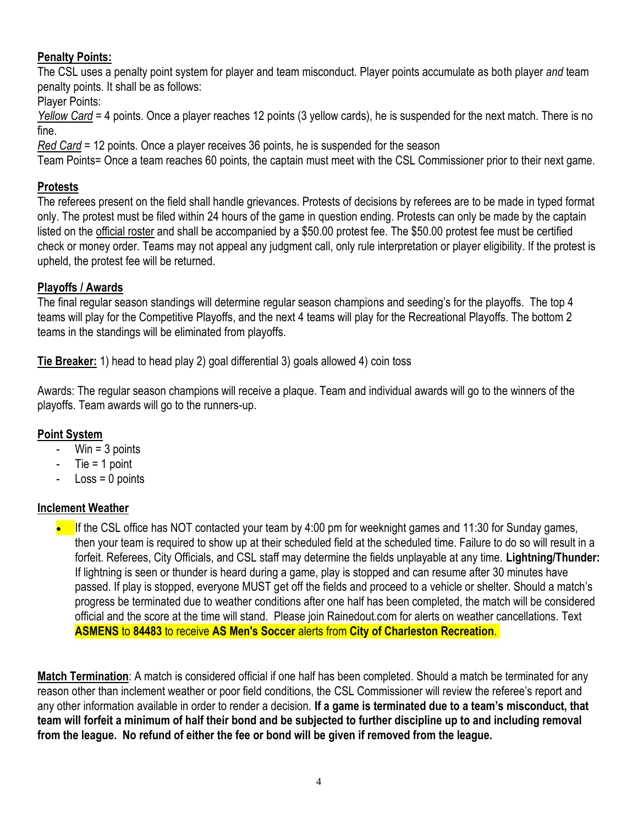# **Penalty Points:**

The CSL uses a penalty point system for player and team misconduct. Player points accumulate as both player *and* team penalty points. It shall be as follows:

Player Points:

*Yellow Card* = 4 points. Once a player reaches 12 points (3 yellow cards), he is suspended for the next match. There is no fine.

*Red Card* = 12 points. Once a player receives 36 points, he is suspended for the season

Team Points= Once a team reaches 60 points, the captain must meet with the CSL Commissioner prior to their next game.

# **Protests**

The referees present on the field shall handle grievances. Protests of decisions by referees are to be made in typed format only. The protest must be filed within 24 hours of the game in question ending. Protests can only be made by the captain listed on the official roster and shall be accompanied by a \$50.00 protest fee. The \$50.00 protest fee must be certified check or money order. Teams may not appeal any judgment call, only rule interpretation or player eligibility. If the protest is upheld, the protest fee will be returned.

# **Playoffs / Awards**

The final regular season standings will determine regular season champions and seeding's for the playoffs. The top 4 teams will play for the Competitive Playoffs, and the next 4 teams will play for the Recreational Playoffs. The bottom 2 teams in the standings will be eliminated from playoffs.

**Tie Breaker:** 1) head to head play 2) goal differential 3) goals allowed 4) coin toss

Awards: The regular season champions will receive a plaque. Team and individual awards will go to the winners of the playoffs. Team awards will go to the runners-up.

# **Point System**

- Win = 3 points
- $Tie = 1$  point
- $-$  Loss = 0 points

# **Inclement Weather**

 If the CSL office has NOT contacted your team by 4:00 pm for weeknight games and 11:30 for Sunday games, then your team is required to show up at their scheduled field at the scheduled time. Failure to do so will result in a forfeit. Referees, City Officials, and CSL staff may determine the fields unplayable at any time. **Lightning/Thunder:** If lightning is seen or thunder is heard during a game, play is stopped and can resume after 30 minutes have passed. If play is stopped, everyone MUST get off the fields and proceed to a vehicle or shelter. Should a match's progress be terminated due to weather conditions after one half has been completed, the match will be considered official and the score at the time will stand. Please join Rainedout.com for alerts on weather cancellations. Text **ASMENS** to **84483** to receive **AS Men's Soccer** alerts from **City of Charleston Recreation**.

**Match Termination**: A match is considered official if one half has been completed. Should a match be terminated for any reason other than inclement weather or poor field conditions, the CSL Commissioner will review the referee's report and any other information available in order to render a decision. **If a game is terminated due to a team's misconduct, that team will forfeit a minimum of half their bond and be subjected to further discipline up to and including removal from the league. No refund of either the fee or bond will be given if removed from the league.**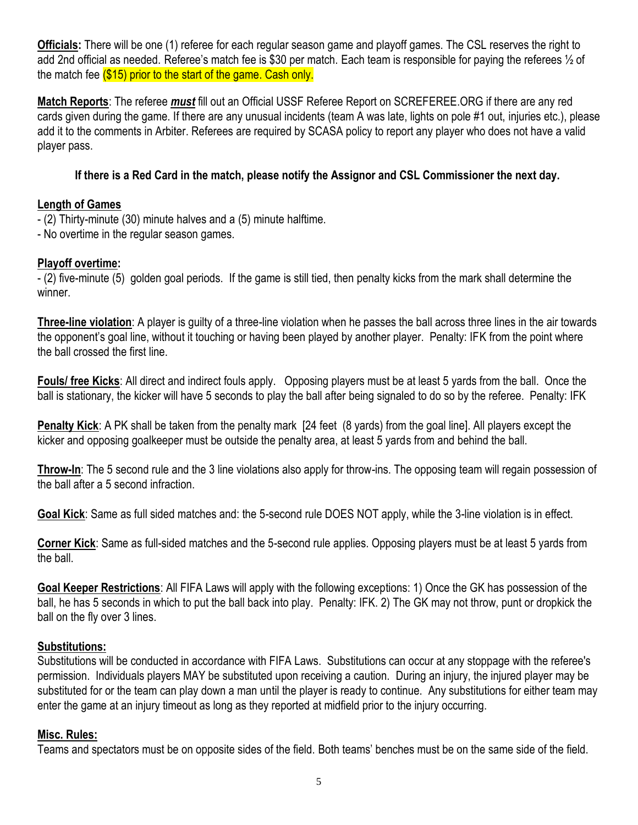**Officials:** There will be one (1) referee for each regular season game and playoff games. The CSL reserves the right to add 2nd official as needed. Referee's match fee is \$30 per match. Each team is responsible for paying the referees ½ of the match fee (\$15) prior to the start of the game. Cash only.

**Match Reports**: The referee *must* fill out an Official USSF Referee Report on SCREFEREE.ORG if there are any red cards given during the game. If there are any unusual incidents (team A was late, lights on pole #1 out, injuries etc.), please add it to the comments in Arbiter. Referees are required by SCASA policy to report any player who does not have a valid player pass.

## **If there is a Red Card in the match, please notify the Assignor and CSL Commissioner the next day.**

### **Length of Games**

- (2) Thirty-minute (30) minute halves and a (5) minute halftime.
- No overtime in the regular season games.

#### **Playoff overtime:**

- (2) five-minute (5) golden goal periods. If the game is still tied, then penalty kicks from the mark shall determine the winner.

**Three-line violation**: A player is guilty of a three-line violation when he passes the ball across three lines in the air towards the opponent's goal line, without it touching or having been played by another player. Penalty: IFK from the point where the ball crossed the first line.

**Fouls/ free Kicks**: All direct and indirect fouls apply. Opposing players must be at least 5 yards from the ball. Once the ball is stationary, the kicker will have 5 seconds to play the ball after being signaled to do so by the referee. Penalty: IFK

**Penalty Kick**: A PK shall be taken from the penalty mark [24 feet (8 yards) from the goal line]. All players except the kicker and opposing goalkeeper must be outside the penalty area, at least 5 yards from and behind the ball.

**Throw-In**: The 5 second rule and the 3 line violations also apply for throw-ins. The opposing team will regain possession of the ball after a 5 second infraction.

**Goal Kick**: Same as full sided matches and: the 5-second rule DOES NOT apply, while the 3-line violation is in effect.

**Corner Kick**: Same as full-sided matches and the 5-second rule applies. Opposing players must be at least 5 yards from the ball.

**Goal Keeper Restrictions**: All FIFA Laws will apply with the following exceptions: 1) Once the GK has possession of the ball, he has 5 seconds in which to put the ball back into play. Penalty: IFK. 2) The GK may not throw, punt or dropkick the ball on the fly over 3 lines.

#### **Substitutions:**

Substitutions will be conducted in accordance with FIFA Laws. Substitutions can occur at any stoppage with the referee's permission. Individuals players MAY be substituted upon receiving a caution. During an injury, the injured player may be substituted for or the team can play down a man until the player is ready to continue. Any substitutions for either team may enter the game at an injury timeout as long as they reported at midfield prior to the injury occurring.

#### **Misc. Rules:**

Teams and spectators must be on opposite sides of the field. Both teams' benches must be on the same side of the field.